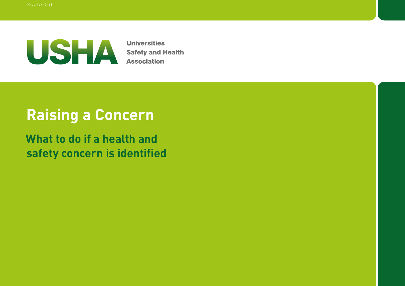

**Universities Safety and Health<br>Association** 

# **Raising a Concern**

**What to do if a health and safety concern is identified**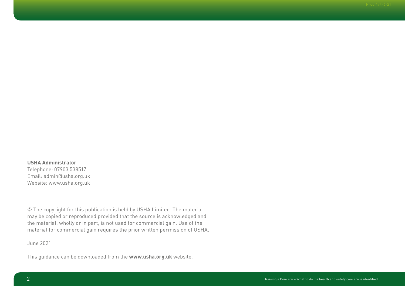**USHA Administrator** Telephone: 07903 538517 Email: admin@usha.org.uk Website: www.usha.org.uk

© The copyright for this publication is held by USHA Limited. The material may be copied or reproduced provided that the source is acknowledged and the material, wholly or in part, is not used for commercial gain. Use of the material for commercial gain requires the prior written permission of USHA.

June 2021

This guidance can be downloaded from the **www.usha.org.uk** website.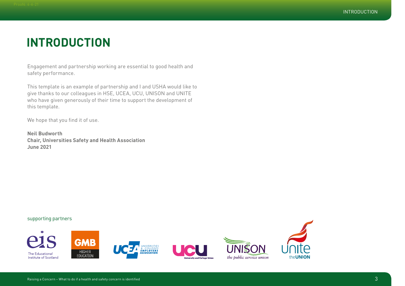## **INTRODUCTION**

Engagement and partnership working are essential to good health and safety performance.

This template is an example of partnership and I and USHA would like to give thanks to our colleagues in HSE, UCEA, UCU, UNISON and UNITE who have given generously of their time to support the development of this template.

We hope that you find it of use.

**Neil Budworth Chair, Universities Safety and Health Association June 2021**

#### supporting partners

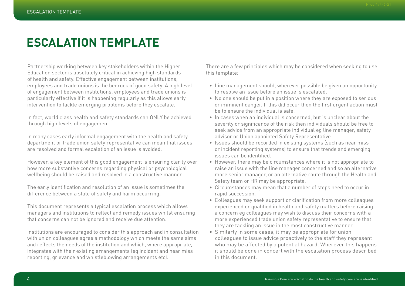# **ESCALATION TEMPLATE**

Partnership working between key stakeholders within the Higher Education sector is absolutely critical in achieving high standards of health and safety. Effective engagement between institutions, employees and trade unions is the bedrock of good safety. A high level of engagement between institutions, employees and trade unions is particularly effective if it is happening regularly as this allows early intervention to tackle emerging problems before they escalate.

In fact, world class health and safety standards can ONLY be achieved through high levels of engagement.

In many cases early informal engagement with the health and safety department or trade union safety representative can mean that issues are resolved and formal escalation of an issue is avoided.

However, a key element of this good engagement is ensuring clarity over how more substantive concerns regarding physical or psychological wellbeing should be raised and resolved in a constructive manner.

The early identification and resolution of an issue is sometimes the difference between a state of safety and harm occurring.

This document represents a typical escalation process which allows managers and institutions to reflect and remedy issues whilst ensuring that concerns can not be ignored and receive due attention.

Institutions are encouraged to consider this approach and in consultation with union colleagues agree a methodology which meets the same aims and reflects the needs of the institution and which, where appropriate, integrates with their existing arrangements (eg incident and near miss reporting, grievance and whistleblowing arrangements etc).

There are a few principles which may be considered when seeking to use this template:

- Line management should, wherever possible be given an opportunity to resolve an issue before an issue is escalated.
- No one should be put in a position where they are exposed to serious or imminent danger. If this did occur then the first urgent action must be to ensure the individual is safe.
- In cases when an individual is concerned, but is unclear about the severity or significance of the risk then individuals should be free to seek advice from an appropriate individual eg line manager, safety advisor or Union appointed Safety Representative.
- Issues should be recorded in existing systems (such as near miss or incident reporting systems) to ensure that trends and emerging issues can be identified.
- However, there may be circumstances where it is not appropriate to raise an issue with the line manager concerned and so an alternative more senior manager, or an alternative route through the Health and Safety team or HR may be appropriate.
- Circumstances may mean that a number of steps need to occur in rapid succession.
- Colleagues may seek support or clarification from more colleagues experienced or qualified in health and safety matters before raising a concern eg colleagues may wish to discuss their concerns with a more experienced trade union safety representative to ensure that they are tackling an issue in the most constructive manner.
- Similarly in some cases, it may be appropriate for union colleagues to issue advice proactively to the staff they represent who may be affected by a potential hazard. Wherever this happens it should be done in concert with the escalation process described in this document.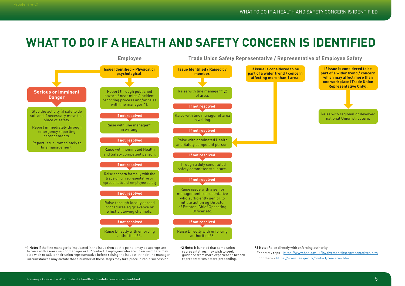## **WHAT TO DO IF A HEALTH AND SAFETY CONCERN IS IDENTIFIED**



**\*1 Note:** If the line manager is implicated in the issue then at this point it may be appropriate to raise with a more senior manager or HR contact. Employees who are union members may also wish to talk to their union representative before raising the issue with their line manager. Circumstances may dictate that a number of these steps may take place in rapid succession.

**\*2 Note:** It is noted that some union representatives may wish to seek guidance from more experienced branch representatives before proceeding.

**\*3 Note:** Raise directly with enforcing authority.

For safety reps – https://www.hse.gov.uk/involvement/hsrepresentatives.htm For others – https://www.hse.gov.uk/contact/concerns.htm